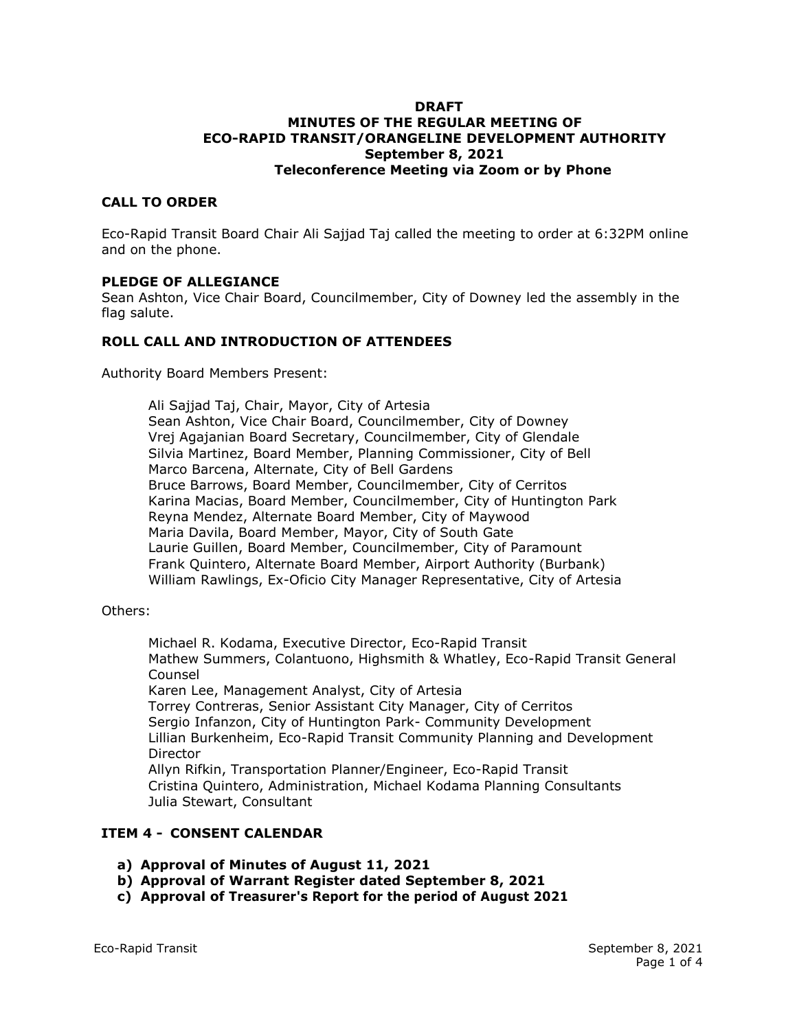#### **DRAFT MINUTES OF THE REGULAR MEETING OF ECO-RAPID TRANSIT/ORANGELINE DEVELOPMENT AUTHORITY September 8, 2021 Teleconference Meeting via Zoom or by Phone**

## **CALL TO ORDER**

Eco-Rapid Transit Board Chair Ali Sajjad Taj called the meeting to order at 6:32PM online and on the phone.

#### **PLEDGE OF ALLEGIANCE**

Sean Ashton, Vice Chair Board, Councilmember, City of Downey led the assembly in the flag salute.

## **ROLL CALL AND INTRODUCTION OF ATTENDEES**

Authority Board Members Present:

Ali Sajjad Taj, Chair, Mayor, City of Artesia Sean Ashton, Vice Chair Board, Councilmember, City of Downey Vrej Agajanian Board Secretary, Councilmember, City of Glendale Silvia Martinez, Board Member, Planning Commissioner, City of Bell Marco Barcena, Alternate, City of Bell Gardens Bruce Barrows, Board Member, Councilmember, City of Cerritos Karina Macias, Board Member, Councilmember, City of Huntington Park Reyna Mendez, Alternate Board Member, City of Maywood Maria Davila, Board Member, Mayor, City of South Gate Laurie Guillen, Board Member, Councilmember, City of Paramount Frank Quintero, Alternate Board Member, Airport Authority (Burbank) William Rawlings, Ex-Oficio City Manager Representative, City of Artesia

#### Others:

Michael R. Kodama, Executive Director, Eco-Rapid Transit Mathew Summers, Colantuono, Highsmith & Whatley, Eco-Rapid Transit General Counsel Karen Lee, Management Analyst, City of Artesia Torrey Contreras, Senior Assistant City Manager, City of Cerritos Sergio Infanzon, City of Huntington Park- Community Development Lillian Burkenheim, Eco-Rapid Transit Community Planning and Development Director Allyn Rifkin, Transportation Planner/Engineer, Eco-Rapid Transit Cristina Quintero, Administration, Michael Kodama Planning Consultants Julia Stewart, Consultant

## **ITEM 4 - CONSENT CALENDAR**

- **a) Approval of Minutes of August 11, 2021**
- **b) Approval of Warrant Register dated September 8, 2021**
- **c) Approval of Treasurer's Report for the period of August 2021**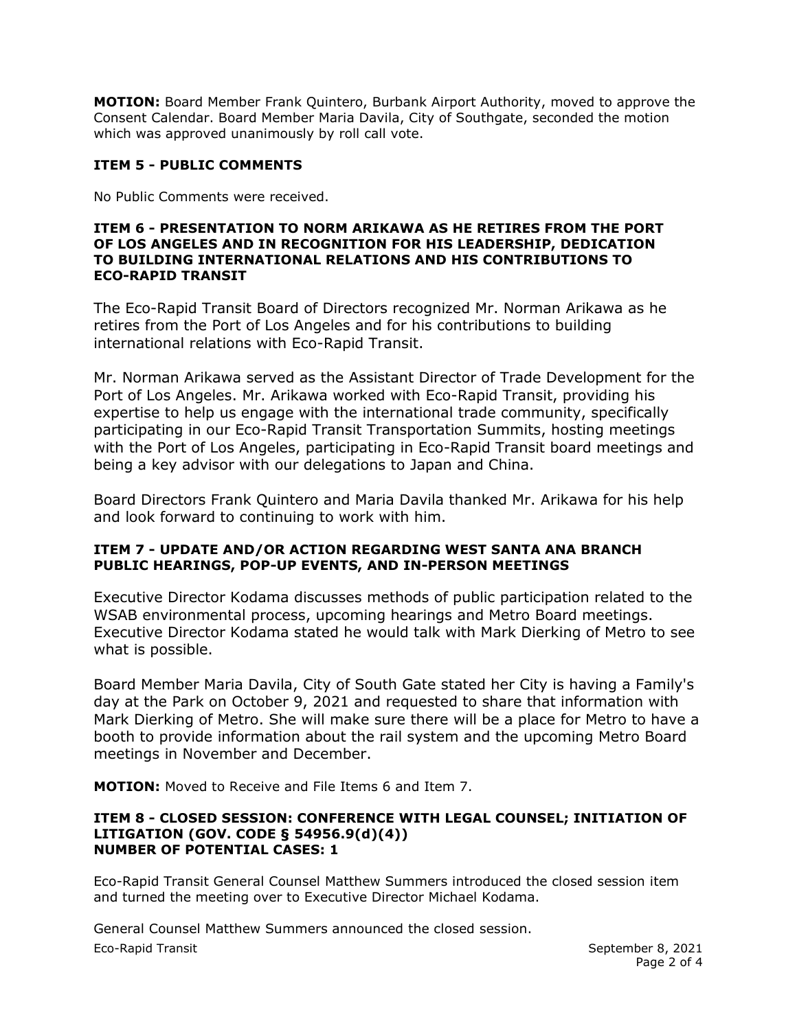**MOTION:** Board Member Frank Quintero, Burbank Airport Authority, moved to approve the Consent Calendar. Board Member Maria Davila, City of Southgate, seconded the motion which was approved unanimously by roll call vote.

# **ITEM 5 - PUBLIC COMMENTS**

No Public Comments were received.

#### **ITEM 6 - PRESENTATION TO NORM ARIKAWA AS HE RETIRES FROM THE PORT OF LOS ANGELES AND IN RECOGNITION FOR HIS LEADERSHIP, DEDICATION TO BUILDING INTERNATIONAL RELATIONS AND HIS CONTRIBUTIONS TO ECO-RAPID TRANSIT**

The Eco-Rapid Transit Board of Directors recognized Mr. Norman Arikawa as he retires from the Port of Los Angeles and for his contributions to building international relations with Eco-Rapid Transit.

Mr. Norman Arikawa served as the Assistant Director of Trade Development for the Port of Los Angeles. Mr. Arikawa worked with Eco-Rapid Transit, providing his expertise to help us engage with the international trade community, specifically participating in our Eco-Rapid Transit Transportation Summits, hosting meetings with the Port of Los Angeles, participating in Eco-Rapid Transit board meetings and being a key advisor with our delegations to Japan and China.

Board Directors Frank Quintero and Maria Davila thanked Mr. Arikawa for his help and look forward to continuing to work with him.

# **ITEM 7 - UPDATE AND/OR ACTION REGARDING WEST SANTA ANA BRANCH PUBLIC HEARINGS, POP-UP EVENTS, AND IN-PERSON MEETINGS**

Executive Director Kodama discusses methods of public participation related to the WSAB environmental process, upcoming hearings and Metro Board meetings. Executive Director Kodama stated he would talk with Mark Dierking of Metro to see what is possible.

Board Member Maria Davila, City of South Gate stated her City is having a Family's day at the Park on October 9, 2021 and requested to share that information with Mark Dierking of Metro. She will make sure there will be a place for Metro to have a booth to provide information about the rail system and the upcoming Metro Board meetings in November and December.

**MOTION:** Moved to Receive and File Items 6 and Item 7.

#### **ITEM 8 - CLOSED SESSION: CONFERENCE WITH LEGAL COUNSEL; INITIATION OF LITIGATION (GOV. CODE § 54956.9(d)(4)) NUMBER OF POTENTIAL CASES: 1**

Eco-Rapid Transit General Counsel Matthew Summers introduced the closed session item and turned the meeting over to Executive Director Michael Kodama.

Eco-Rapid Transit September 8, 2021 General Counsel Matthew Summers announced the closed session.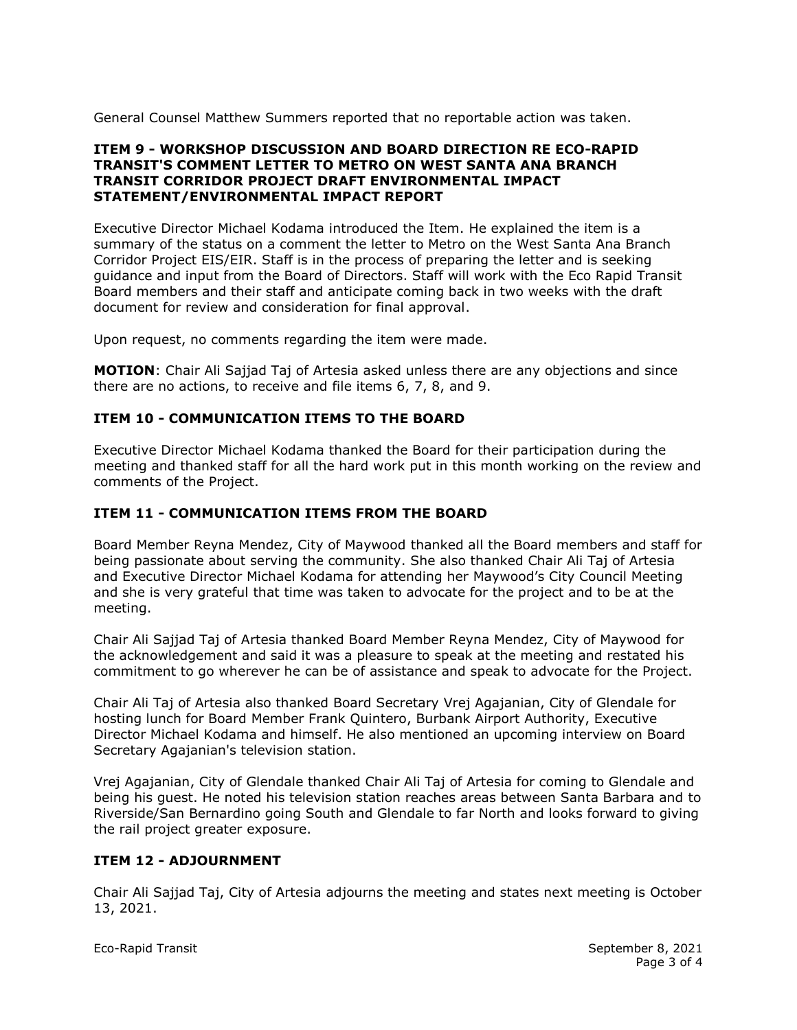General Counsel Matthew Summers reported that no reportable action was taken.

## **ITEM 9 - WORKSHOP DISCUSSION AND BOARD DIRECTION RE ECO-RAPID TRANSIT'S COMMENT LETTER TO METRO ON WEST SANTA ANA BRANCH TRANSIT CORRIDOR PROJECT DRAFT ENVIRONMENTAL IMPACT STATEMENT/ENVIRONMENTAL IMPACT REPORT**

Executive Director Michael Kodama introduced the Item. He explained the item is a summary of the status on a comment the letter to Metro on the West Santa Ana Branch Corridor Project EIS/EIR. Staff is in the process of preparing the letter and is seeking guidance and input from the Board of Directors. Staff will work with the Eco Rapid Transit Board members and their staff and anticipate coming back in two weeks with the draft document for review and consideration for final approval.

Upon request, no comments regarding the item were made.

**MOTION**: Chair Ali Sajjad Taj of Artesia asked unless there are any objections and since there are no actions, to receive and file items 6, 7, 8, and 9.

## **ITEM 10 - COMMUNICATION ITEMS TO THE BOARD**

Executive Director Michael Kodama thanked the Board for their participation during the meeting and thanked staff for all the hard work put in this month working on the review and comments of the Project.

## **ITEM 11 - COMMUNICATION ITEMS FROM THE BOARD**

Board Member Reyna Mendez, City of Maywood thanked all the Board members and staff for being passionate about serving the community. She also thanked Chair Ali Taj of Artesia and Executive Director Michael Kodama for attending her Maywood's City Council Meeting and she is very grateful that time was taken to advocate for the project and to be at the meeting.

Chair Ali Sajjad Taj of Artesia thanked Board Member Reyna Mendez, City of Maywood for the acknowledgement and said it was a pleasure to speak at the meeting and restated his commitment to go wherever he can be of assistance and speak to advocate for the Project.

Chair Ali Taj of Artesia also thanked Board Secretary Vrej Agajanian, City of Glendale for hosting lunch for Board Member Frank Quintero, Burbank Airport Authority, Executive Director Michael Kodama and himself. He also mentioned an upcoming interview on Board Secretary Agajanian's television station.

Vrej Agajanian, City of Glendale thanked Chair Ali Taj of Artesia for coming to Glendale and being his guest. He noted his television station reaches areas between Santa Barbara and to Riverside/San Bernardino going South and Glendale to far North and looks forward to giving the rail project greater exposure.

## **ITEM 12 - ADJOURNMENT**

Chair Ali Sajjad Taj, City of Artesia adjourns the meeting and states next meeting is October 13, 2021.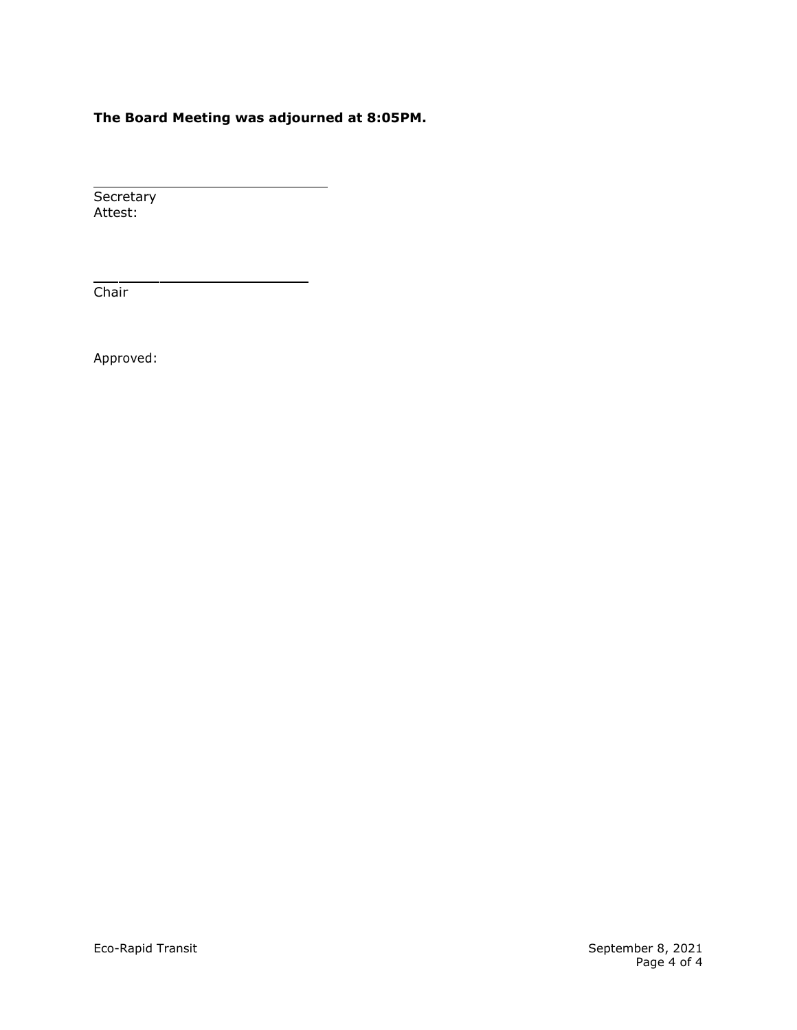# **The Board Meeting was adjourned at 8:05PM.**

Secretary Attest:

**Chair** 

Approved: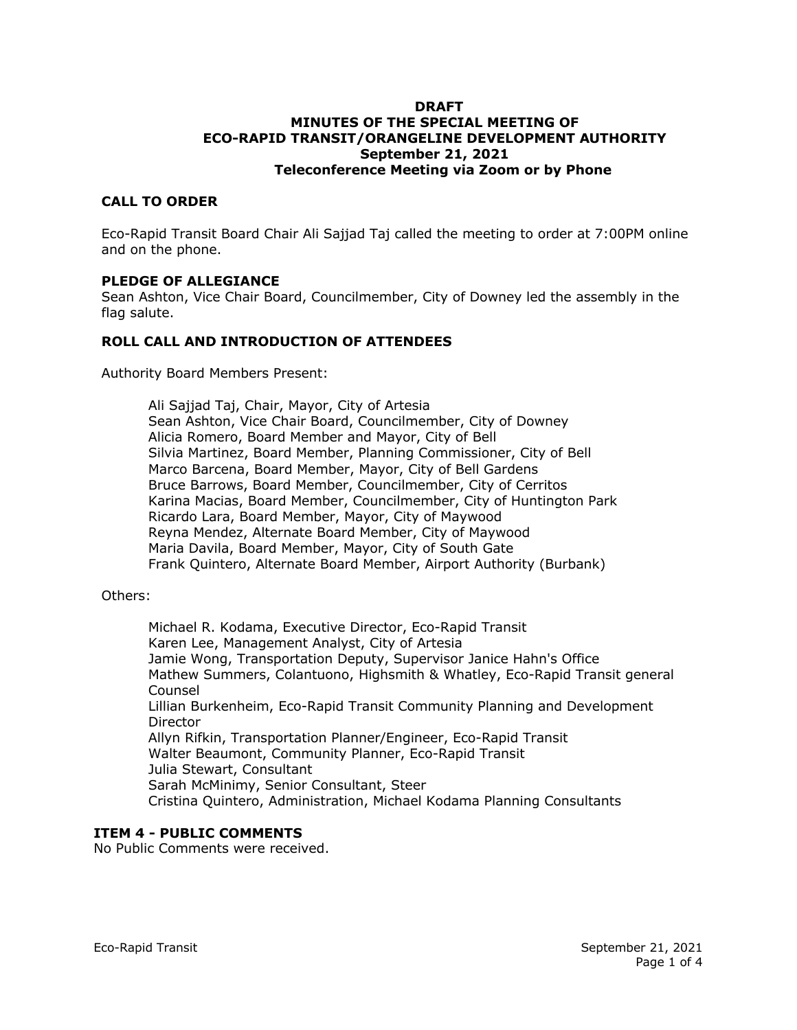#### **DRAFT MINUTES OF THE SPECIAL MEETING OF ECO-RAPID TRANSIT/ORANGELINE DEVELOPMENT AUTHORITY September 21, 2021 Teleconference Meeting via Zoom or by Phone**

## **CALL TO ORDER**

Eco-Rapid Transit Board Chair Ali Sajjad Taj called the meeting to order at 7:00PM online and on the phone.

#### **PLEDGE OF ALLEGIANCE**

Sean Ashton, Vice Chair Board, Councilmember, City of Downey led the assembly in the flag salute.

## **ROLL CALL AND INTRODUCTION OF ATTENDEES**

Authority Board Members Present:

Ali Sajjad Taj, Chair, Mayor, City of Artesia Sean Ashton, Vice Chair Board, Councilmember, City of Downey Alicia Romero, Board Member and Mayor, City of Bell Silvia Martinez, Board Member, Planning Commissioner, City of Bell Marco Barcena, Board Member, Mayor, City of Bell Gardens Bruce Barrows, Board Member, Councilmember, City of Cerritos Karina Macias, Board Member, Councilmember, City of Huntington Park Ricardo Lara, Board Member, Mayor, City of Maywood Reyna Mendez, Alternate Board Member, City of Maywood Maria Davila, Board Member, Mayor, City of South Gate Frank Quintero, Alternate Board Member, Airport Authority (Burbank)

Others:

Michael R. Kodama, Executive Director, Eco-Rapid Transit Karen Lee, Management Analyst, City of Artesia Jamie Wong, Transportation Deputy, Supervisor Janice Hahn's Office Mathew Summers, Colantuono, Highsmith & Whatley, Eco-Rapid Transit general Counsel Lillian Burkenheim, Eco-Rapid Transit Community Planning and Development Director Allyn Rifkin, Transportation Planner/Engineer, Eco-Rapid Transit Walter Beaumont, Community Planner, Eco-Rapid Transit Julia Stewart, Consultant Sarah McMinimy, Senior Consultant, Steer Cristina Quintero, Administration, Michael Kodama Planning Consultants

## **ITEM 4 - PUBLIC COMMENTS**

No Public Comments were received.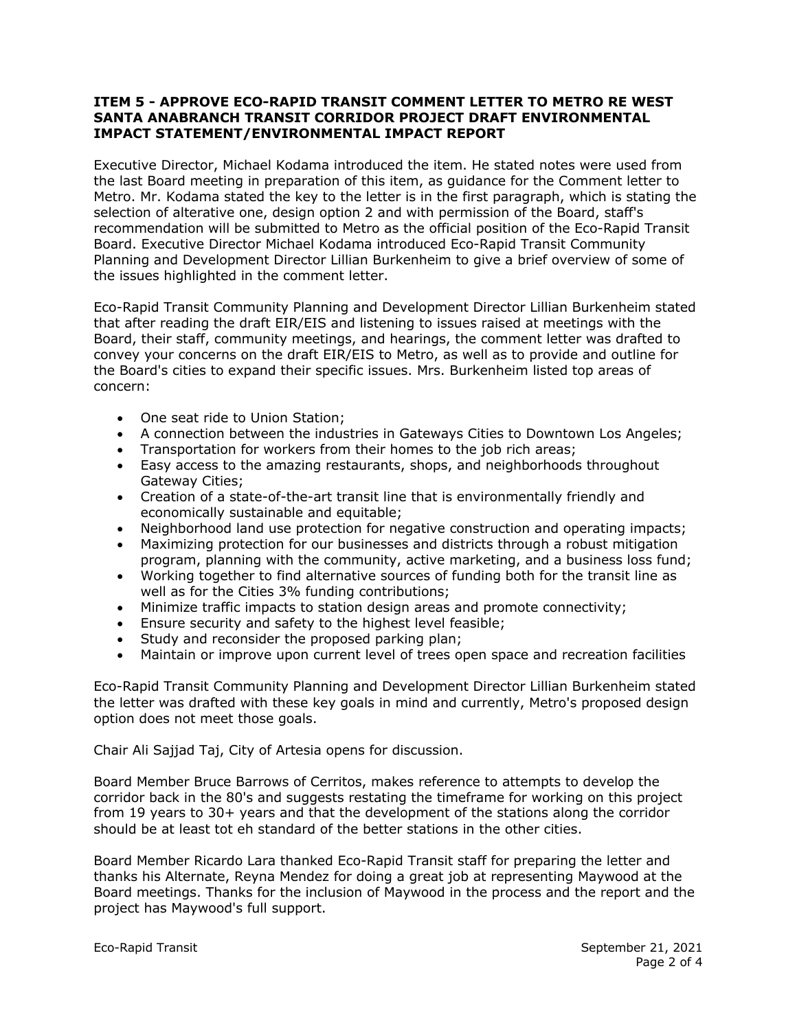## **ITEM 5 - APPROVE ECO-RAPID TRANSIT COMMENT LETTER TO METRO RE WEST SANTA ANABRANCH TRANSIT CORRIDOR PROJECT DRAFT ENVIRONMENTAL IMPACT STATEMENT/ENVIRONMENTAL IMPACT REPORT**

Executive Director, Michael Kodama introduced the item. He stated notes were used from the last Board meeting in preparation of this item, as guidance for the Comment letter to Metro. Mr. Kodama stated the key to the letter is in the first paragraph, which is stating the selection of alterative one, design option 2 and with permission of the Board, staff's recommendation will be submitted to Metro as the official position of the Eco-Rapid Transit Board. Executive Director Michael Kodama introduced Eco-Rapid Transit Community Planning and Development Director Lillian Burkenheim to give a brief overview of some of the issues highlighted in the comment letter.

Eco-Rapid Transit Community Planning and Development Director Lillian Burkenheim stated that after reading the draft EIR/EIS and listening to issues raised at meetings with the Board, their staff, community meetings, and hearings, the comment letter was drafted to convey your concerns on the draft EIR/EIS to Metro, as well as to provide and outline for the Board's cities to expand their specific issues. Mrs. Burkenheim listed top areas of concern:

- One seat ride to Union Station;
- A connection between the industries in Gateways Cities to Downtown Los Angeles;
- Transportation for workers from their homes to the job rich areas;
- Easy access to the amazing restaurants, shops, and neighborhoods throughout Gateway Cities;
- Creation of a state-of-the-art transit line that is environmentally friendly and economically sustainable and equitable;
- Neighborhood land use protection for negative construction and operating impacts;
- Maximizing protection for our businesses and districts through a robust mitigation program, planning with the community, active marketing, and a business loss fund;
- Working together to find alternative sources of funding both for the transit line as well as for the Cities 3% funding contributions;
- Minimize traffic impacts to station design areas and promote connectivity;
- Ensure security and safety to the highest level feasible;
- Study and reconsider the proposed parking plan;
- Maintain or improve upon current level of trees open space and recreation facilities

Eco-Rapid Transit Community Planning and Development Director Lillian Burkenheim stated the letter was drafted with these key goals in mind and currently, Metro's proposed design option does not meet those goals.

Chair Ali Sajjad Taj, City of Artesia opens for discussion.

Board Member Bruce Barrows of Cerritos, makes reference to attempts to develop the corridor back in the 80's and suggests restating the timeframe for working on this project from 19 years to 30+ years and that the development of the stations along the corridor should be at least tot eh standard of the better stations in the other cities.

Board Member Ricardo Lara thanked Eco-Rapid Transit staff for preparing the letter and thanks his Alternate, Reyna Mendez for doing a great job at representing Maywood at the Board meetings. Thanks for the inclusion of Maywood in the process and the report and the project has Maywood's full support.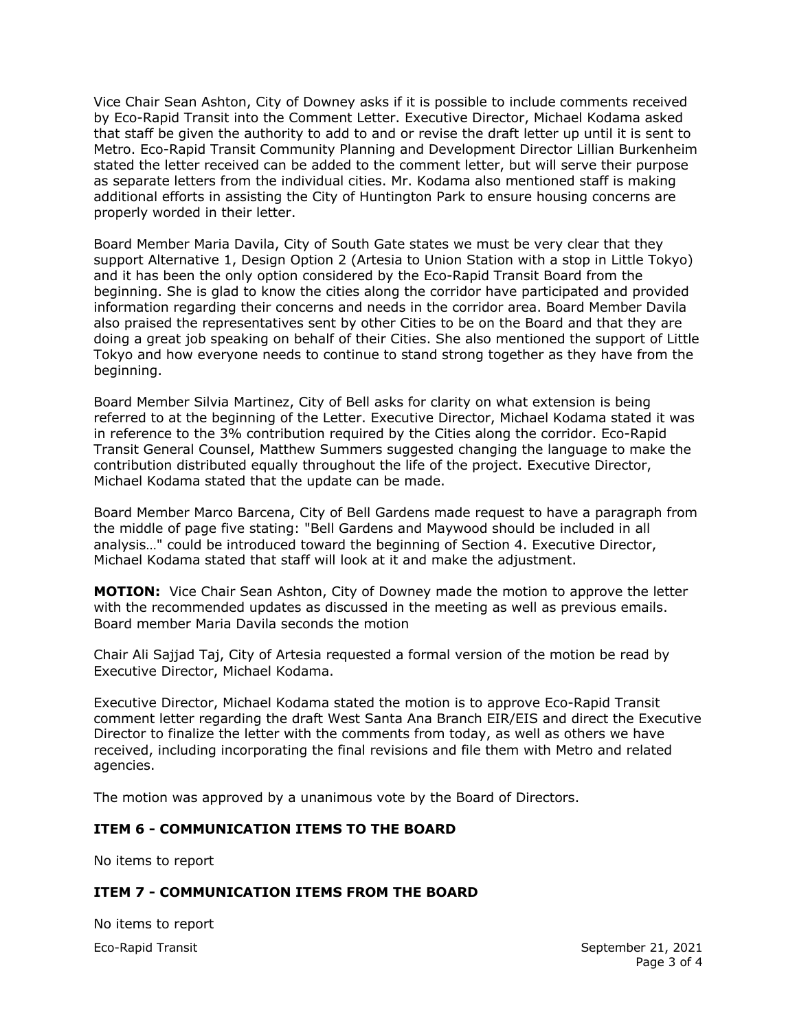Vice Chair Sean Ashton, City of Downey asks if it is possible to include comments received by Eco-Rapid Transit into the Comment Letter. Executive Director, Michael Kodama asked that staff be given the authority to add to and or revise the draft letter up until it is sent to Metro. Eco-Rapid Transit Community Planning and Development Director Lillian Burkenheim stated the letter received can be added to the comment letter, but will serve their purpose as separate letters from the individual cities. Mr. Kodama also mentioned staff is making additional efforts in assisting the City of Huntington Park to ensure housing concerns are properly worded in their letter.

Board Member Maria Davila, City of South Gate states we must be very clear that they support Alternative 1, Design Option 2 (Artesia to Union Station with a stop in Little Tokyo) and it has been the only option considered by the Eco-Rapid Transit Board from the beginning. She is glad to know the cities along the corridor have participated and provided information regarding their concerns and needs in the corridor area. Board Member Davila also praised the representatives sent by other Cities to be on the Board and that they are doing a great job speaking on behalf of their Cities. She also mentioned the support of Little Tokyo and how everyone needs to continue to stand strong together as they have from the beginning.

Board Member Silvia Martinez, City of Bell asks for clarity on what extension is being referred to at the beginning of the Letter. Executive Director, Michael Kodama stated it was in reference to the 3% contribution required by the Cities along the corridor. Eco-Rapid Transit General Counsel, Matthew Summers suggested changing the language to make the contribution distributed equally throughout the life of the project. Executive Director, Michael Kodama stated that the update can be made.

Board Member Marco Barcena, City of Bell Gardens made request to have a paragraph from the middle of page five stating: "Bell Gardens and Maywood should be included in all analysis…" could be introduced toward the beginning of Section 4. Executive Director, Michael Kodama stated that staff will look at it and make the adjustment.

**MOTION:** Vice Chair Sean Ashton, City of Downey made the motion to approve the letter with the recommended updates as discussed in the meeting as well as previous emails. Board member Maria Davila seconds the motion

Chair Ali Sajjad Taj, City of Artesia requested a formal version of the motion be read by Executive Director, Michael Kodama.

Executive Director, Michael Kodama stated the motion is to approve Eco-Rapid Transit comment letter regarding the draft West Santa Ana Branch EIR/EIS and direct the Executive Director to finalize the letter with the comments from today, as well as others we have received, including incorporating the final revisions and file them with Metro and related agencies.

The motion was approved by a unanimous vote by the Board of Directors.

## **ITEM 6 - COMMUNICATION ITEMS TO THE BOARD**

No items to report

## **ITEM 7 - COMMUNICATION ITEMS FROM THE BOARD**

Eco-Rapid Transit September 21, 2021 No items to report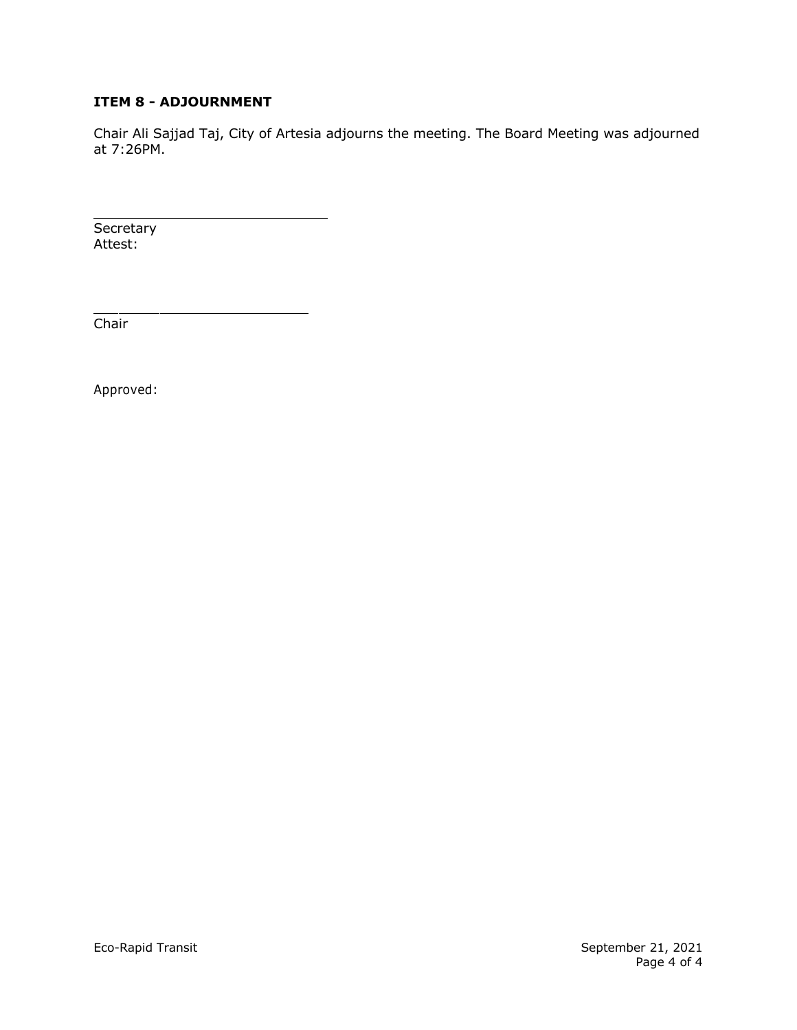# **ITEM 8 - ADJOURNMENT**

Chair Ali Sajjad Taj, City of Artesia adjourns the meeting. The Board Meeting was adjourned at 7:26PM.

**Secretary** Attest:

Chair

Approved: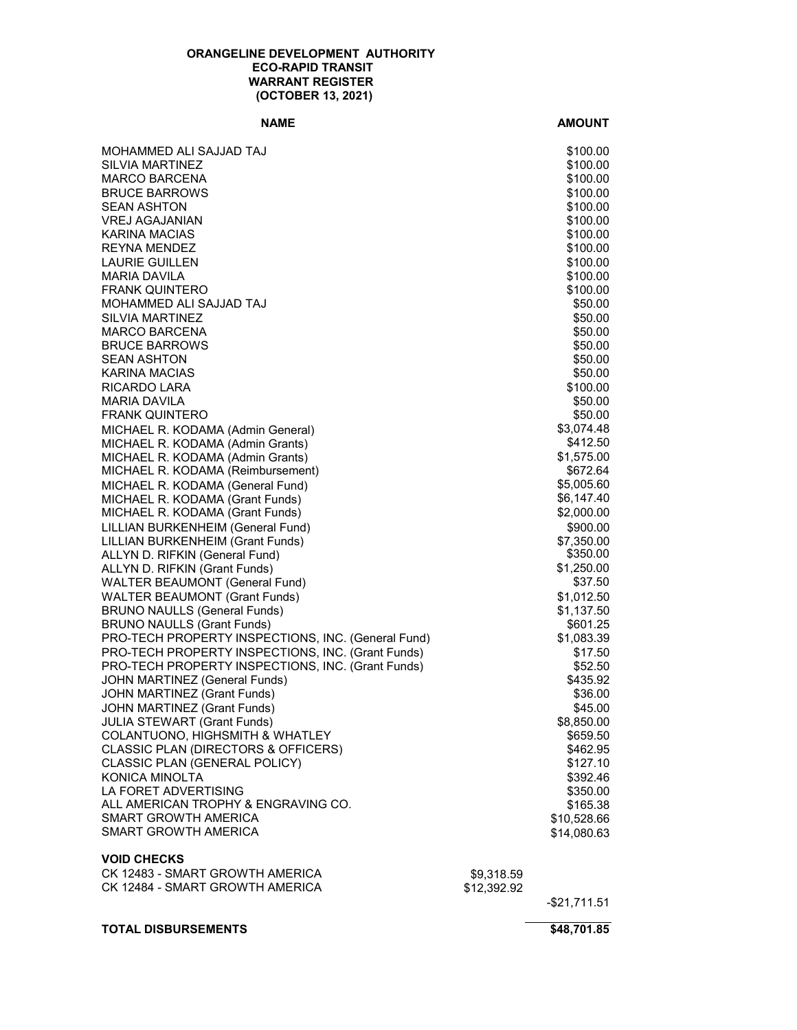#### **ORANGELINE DEVELOPMENT AUTHORITY ECO-RAPID TRANSIT WARRANT REGISTER (OCTOBER 13, 2021)**

#### **NAME AMOUNT**

| <b>TOTAL DISBURSEMENTS</b>                                             |                           | \$48,701.85             |
|------------------------------------------------------------------------|---------------------------|-------------------------|
|                                                                        |                           | $-$ \$21,711.51         |
| CK 12483 - SMART GROWTH AMERICA<br>CK 12484 - SMART GROWTH AMERICA     | \$9,318.59<br>\$12,392.92 |                         |
| <b>VOID CHECKS</b>                                                     |                           |                         |
|                                                                        |                           |                         |
| SMART GROWTH AMERICA                                                   |                           | \$14,080.63             |
| ALL AMERICAN TROPHY & ENGRAVING CO.<br><b>SMART GROWTH AMERICA</b>     |                           | \$165.38<br>\$10,528.66 |
| LA FORET ADVERTISING                                                   |                           | \$350.00                |
| <b>KONICA MINOLTA</b>                                                  |                           | \$392.46                |
| CLASSIC PLAN (GENERAL POLICY)                                          |                           | \$127.10                |
| CLASSIC PLAN (DIRECTORS & OFFICERS)                                    |                           | \$462.95                |
| COLANTUONO, HIGHSMITH & WHATLEY                                        |                           | \$659.50                |
| JOHN MARTINEZ (Grant Funds)<br><b>JULIA STEWART (Grant Funds)</b>      |                           | \$45.00<br>\$8,850.00   |
| <b>JOHN MARTINEZ (Grant Funds)</b>                                     |                           | \$36.00                 |
| JOHN MARTINEZ (General Funds)                                          |                           | \$435.92                |
| PRO-TECH PROPERTY INSPECTIONS, INC. (Grant Funds)                      |                           | \$52.50                 |
| PRO-TECH PROPERTY INSPECTIONS, INC. (Grant Funds)                      |                           | \$17.50                 |
| PRO-TECH PROPERTY INSPECTIONS, INC. (General Fund)                     |                           | \$1,083.39              |
| <b>BRUNO NAULLS (Grant Funds)</b>                                      |                           | \$601.25                |
| <b>BRUNO NAULLS (General Funds)</b>                                    |                           | \$1,137.50              |
| <b>WALTER BEAUMONT (Grant Funds)</b>                                   |                           | \$1,012.50              |
| ALLYN D. RIFKIN (Grant Funds)<br><b>WALTER BEAUMONT (General Fund)</b> |                           | \$37.50                 |
| ALLYN D. RIFKIN (General Fund)                                         |                           | \$350.00<br>\$1,250.00  |
| LILLIAN BURKENHEIM (Grant Funds)                                       |                           | \$7,350.00              |
| LILLIAN BURKENHEIM (General Fund)                                      |                           | \$900.00                |
| MICHAEL R. KODAMA (Grant Funds)                                        |                           | \$2,000.00              |
| MICHAEL R. KODAMA (Grant Funds)                                        |                           | \$6,147.40              |
| MICHAEL R. KODAMA (General Fund)                                       |                           | \$5,005.60              |
| MICHAEL R. KODAMA (Reimbursement)                                      |                           | \$672.64                |
| MICHAEL R. KODAMA (Admin Grants)                                       |                           | \$1,575.00              |
| MICHAEL R. KODAMA (Admin General)<br>MICHAEL R. KODAMA (Admin Grants)  |                           | \$3,074.48<br>\$412.50  |
| <b>FRANK QUINTERO</b>                                                  |                           | \$50.00                 |
| <b>MARIA DAVILA</b>                                                    |                           | \$50.00                 |
| RICARDO LARA                                                           |                           | \$100.00                |
| KARINA MACIAS                                                          |                           | \$50.00                 |
| <b>SEAN ASHTON</b>                                                     |                           | \$50.00                 |
| <b>BRUCE BARROWS</b>                                                   |                           | \$50.00                 |
| <b>SILVIA MARTINEZ</b><br><b>MARCO BARCENA</b>                         |                           | \$50.00<br>\$50.00      |
| MOHAMMED ALI SAJJAD TAJ                                                |                           | \$50.00                 |
| <b>FRANK QUINTERO</b>                                                  |                           | \$100.00                |
| <b>MARIA DAVILA</b>                                                    |                           | \$100.00                |
| <b>LAURIE GUILLEN</b>                                                  |                           | \$100.00                |
| <b>REYNA MENDEZ</b>                                                    |                           | \$100.00                |
| KARINA MACIAS                                                          |                           | \$100.00                |
| <b>SEAN ASHTON</b><br><b>VREJ AGAJANIAN</b>                            |                           | \$100.00<br>\$100.00    |
| <b>BRUCE BARROWS</b>                                                   |                           | \$100.00                |
| MARCO BARCENA                                                          |                           | \$100.00                |
| SILVIA MARTINEZ                                                        |                           | \$100.00                |
| MOHAMMED ALI SAJJAD TAJ                                                |                           | \$100.00                |
|                                                                        |                           |                         |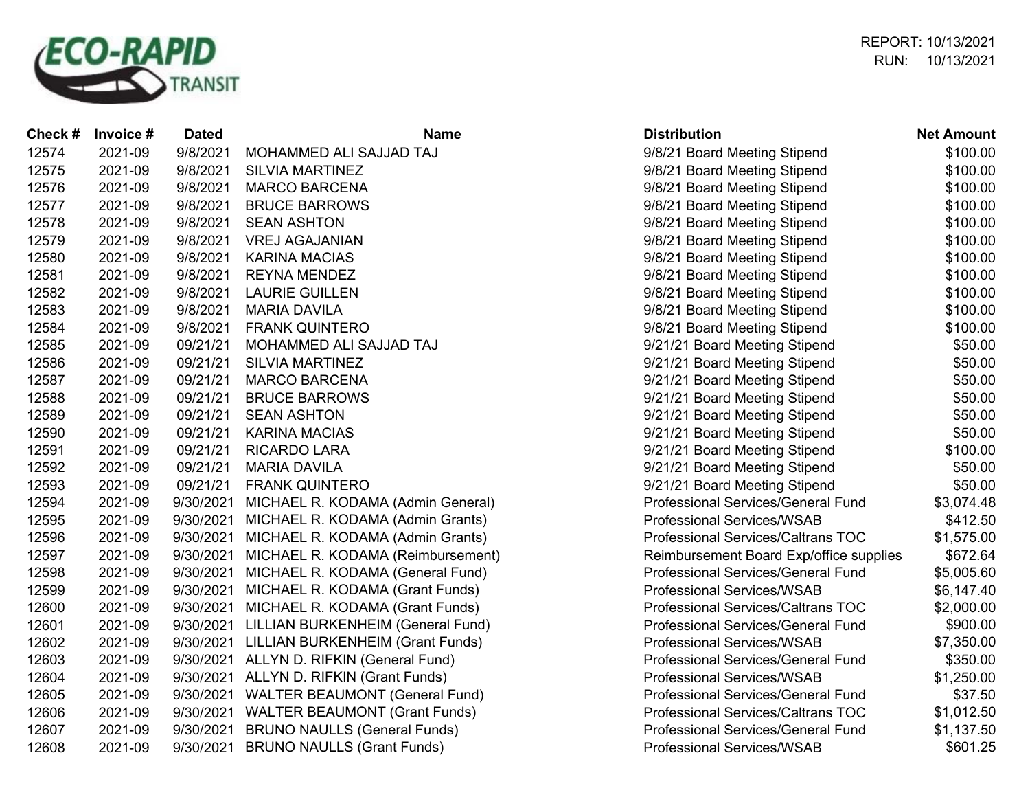

RUN: 10/13/2021 REPORT: 10/13/2021

| Check# | Invoice # | <b>Dated</b> | <b>Name</b>                              | <b>Distribution</b>                       | <b>Net Amount</b> |
|--------|-----------|--------------|------------------------------------------|-------------------------------------------|-------------------|
| 12574  | 2021-09   | 9/8/2021     | MOHAMMED ALI SAJJAD TAJ                  | 9/8/21 Board Meeting Stipend              | \$100.00          |
| 12575  | 2021-09   | 9/8/2021     | <b>SILVIA MARTINEZ</b>                   | 9/8/21 Board Meeting Stipend              | \$100.00          |
| 12576  | 2021-09   | 9/8/2021     | <b>MARCO BARCENA</b>                     | 9/8/21 Board Meeting Stipend              | \$100.00          |
| 12577  | 2021-09   | 9/8/2021     | <b>BRUCE BARROWS</b>                     | 9/8/21 Board Meeting Stipend              | \$100.00          |
| 12578  | 2021-09   | 9/8/2021     | <b>SEAN ASHTON</b>                       | 9/8/21 Board Meeting Stipend              | \$100.00          |
| 12579  | 2021-09   | 9/8/2021     | <b>VREJ AGAJANIAN</b>                    | 9/8/21 Board Meeting Stipend              | \$100.00          |
| 12580  | 2021-09   | 9/8/2021     | <b>KARINA MACIAS</b>                     | 9/8/21 Board Meeting Stipend              | \$100.00          |
| 12581  | 2021-09   | 9/8/2021     | <b>REYNA MENDEZ</b>                      | 9/8/21 Board Meeting Stipend              | \$100.00          |
| 12582  | 2021-09   | 9/8/2021     | <b>LAURIE GUILLEN</b>                    | 9/8/21 Board Meeting Stipend              | \$100.00          |
| 12583  | 2021-09   | 9/8/2021     | <b>MARIA DAVILA</b>                      | 9/8/21 Board Meeting Stipend              | \$100.00          |
| 12584  | 2021-09   | 9/8/2021     | <b>FRANK QUINTERO</b>                    | 9/8/21 Board Meeting Stipend              | \$100.00          |
| 12585  | 2021-09   | 09/21/21     | MOHAMMED ALI SAJJAD TAJ                  | 9/21/21 Board Meeting Stipend             | \$50.00           |
| 12586  | 2021-09   | 09/21/21     | <b>SILVIA MARTINEZ</b>                   | 9/21/21 Board Meeting Stipend             | \$50.00           |
| 12587  | 2021-09   | 09/21/21     | <b>MARCO BARCENA</b>                     | 9/21/21 Board Meeting Stipend             | \$50.00           |
| 12588  | 2021-09   | 09/21/21     | <b>BRUCE BARROWS</b>                     | 9/21/21 Board Meeting Stipend             | \$50.00           |
| 12589  | 2021-09   | 09/21/21     | <b>SEAN ASHTON</b>                       | 9/21/21 Board Meeting Stipend             | \$50.00           |
| 12590  | 2021-09   | 09/21/21     | <b>KARINA MACIAS</b>                     | 9/21/21 Board Meeting Stipend             | \$50.00           |
| 12591  | 2021-09   | 09/21/21     | <b>RICARDO LARA</b>                      | 9/21/21 Board Meeting Stipend             | \$100.00          |
| 12592  | 2021-09   | 09/21/21     | <b>MARIA DAVILA</b>                      | 9/21/21 Board Meeting Stipend             | \$50.00           |
| 12593  | 2021-09   | 09/21/21     | <b>FRANK QUINTERO</b>                    | 9/21/21 Board Meeting Stipend             | \$50.00           |
| 12594  | 2021-09   | 9/30/2021    | MICHAEL R. KODAMA (Admin General)        | Professional Services/General Fund        | \$3,074.48        |
| 12595  | 2021-09   | 9/30/2021    | MICHAEL R. KODAMA (Admin Grants)         | <b>Professional Services/WSAB</b>         | \$412.50          |
| 12596  | 2021-09   | 9/30/2021    | MICHAEL R. KODAMA (Admin Grants)         | Professional Services/Caltrans TOC        | \$1,575.00        |
| 12597  | 2021-09   | 9/30/2021    | MICHAEL R. KODAMA (Reimbursement)        | Reimbursement Board Exp/office supplies   | \$672.64          |
| 12598  | 2021-09   | 9/30/2021    | MICHAEL R. KODAMA (General Fund)         | Professional Services/General Fund        | \$5,005.60        |
| 12599  | 2021-09   | 9/30/2021    | MICHAEL R. KODAMA (Grant Funds)          | <b>Professional Services/WSAB</b>         | \$6,147.40        |
| 12600  | 2021-09   | 9/30/2021    | MICHAEL R. KODAMA (Grant Funds)          | Professional Services/Caltrans TOC        | \$2,000.00        |
| 12601  | 2021-09   | 9/30/2021    | LILLIAN BURKENHEIM (General Fund)        | Professional Services/General Fund        | \$900.00          |
| 12602  | 2021-09   | 9/30/2021    | LILLIAN BURKENHEIM (Grant Funds)         | <b>Professional Services/WSAB</b>         | \$7,350.00        |
| 12603  | 2021-09   |              | 9/30/2021 ALLYN D. RIFKIN (General Fund) | Professional Services/General Fund        | \$350.00          |
| 12604  | 2021-09   |              | 9/30/2021 ALLYN D. RIFKIN (Grant Funds)  | <b>Professional Services/WSAB</b>         | \$1,250.00        |
| 12605  | 2021-09   |              | 9/30/2021 WALTER BEAUMONT (General Fund) | Professional Services/General Fund        | \$37.50           |
| 12606  | 2021-09   |              | 9/30/2021 WALTER BEAUMONT (Grant Funds)  | Professional Services/Caltrans TOC        | \$1,012.50        |
| 12607  | 2021-09   | 9/30/2021    | <b>BRUNO NAULLS (General Funds)</b>      | <b>Professional Services/General Fund</b> | \$1,137.50        |
| 12608  | 2021-09   | 9/30/2021    | <b>BRUNO NAULLS (Grant Funds)</b>        | <b>Professional Services/WSAB</b>         | \$601.25          |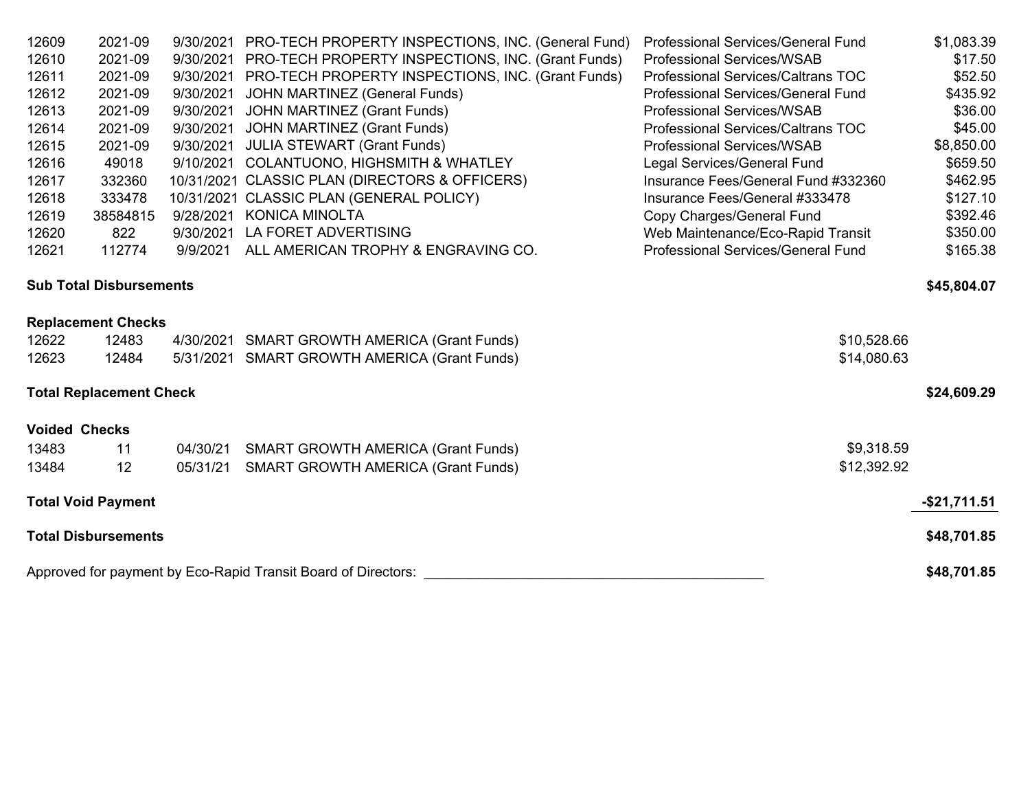| 12609                | 2021-09                        |           | 9/30/2021 PRO-TECH PROPERTY INSPECTIONS, INC. (General Fund)  | Professional Services/General Fund  | \$1,083.39      |
|----------------------|--------------------------------|-----------|---------------------------------------------------------------|-------------------------------------|-----------------|
| 12610                | 2021-09                        | 9/30/2021 | PRO-TECH PROPERTY INSPECTIONS, INC. (Grant Funds)             | <b>Professional Services/WSAB</b>   | \$17.50         |
| 12611                | 2021-09                        |           | 9/30/2021 PRO-TECH PROPERTY INSPECTIONS, INC. (Grant Funds)   | Professional Services/Caltrans TOC  | \$52.50         |
| 12612                | 2021-09                        | 9/30/2021 | JOHN MARTINEZ (General Funds)                                 | Professional Services/General Fund  | \$435.92        |
| 12613                | 2021-09                        | 9/30/2021 | <b>JOHN MARTINEZ (Grant Funds)</b>                            | <b>Professional Services/WSAB</b>   | \$36.00         |
| 12614                | 2021-09                        | 9/30/2021 | JOHN MARTINEZ (Grant Funds)                                   | Professional Services/Caltrans TOC  | \$45.00         |
| 12615                | 2021-09                        | 9/30/2021 | <b>JULIA STEWART (Grant Funds)</b>                            | <b>Professional Services/WSAB</b>   | \$8,850.00      |
| 12616                | 49018                          |           | 9/10/2021 COLANTUONO, HIGHSMITH & WHATLEY                     | Legal Services/General Fund         | \$659.50        |
| 12617                | 332360                         |           | 10/31/2021 CLASSIC PLAN (DIRECTORS & OFFICERS)                | Insurance Fees/General Fund #332360 | \$462.95        |
| 12618                | 333478                         |           | 10/31/2021 CLASSIC PLAN (GENERAL POLICY)                      | Insurance Fees/General #333478      | \$127.10        |
| 12619                | 38584815                       |           | 9/28/2021 KONICA MINOLTA                                      | Copy Charges/General Fund           | \$392.46        |
| 12620                | 822                            | 9/30/2021 | LA FORET ADVERTISING                                          | Web Maintenance/Eco-Rapid Transit   | \$350.00        |
| 12621                | 112774                         | 9/9/2021  | ALL AMERICAN TROPHY & ENGRAVING CO.                           | Professional Services/General Fund  | \$165.38        |
|                      | <b>Sub Total Disbursements</b> |           |                                                               |                                     | \$45,804.07     |
|                      | <b>Replacement Checks</b>      |           |                                                               |                                     |                 |
| 12622                | 12483                          |           | 4/30/2021 SMART GROWTH AMERICA (Grant Funds)                  | \$10,528.66                         |                 |
| 12623                | 12484                          |           | 5/31/2021 SMART GROWTH AMERICA (Grant Funds)                  | \$14,080.63                         |                 |
|                      | <b>Total Replacement Check</b> |           |                                                               |                                     | \$24,609.29     |
| <b>Voided Checks</b> |                                |           |                                                               |                                     |                 |
| 13483                | 11                             | 04/30/21  | <b>SMART GROWTH AMERICA (Grant Funds)</b>                     | \$9,318.59                          |                 |
| 13484                | 12                             | 05/31/21  | <b>SMART GROWTH AMERICA (Grant Funds)</b>                     | \$12,392.92                         |                 |
|                      | <b>Total Void Payment</b>      |           |                                                               |                                     | $-$ \$21,711.51 |
|                      | <b>Total Disbursements</b>     |           |                                                               |                                     | \$48,701.85     |
|                      |                                |           | Approved for payment by Eco-Rapid Transit Board of Directors: |                                     | \$48,701.85     |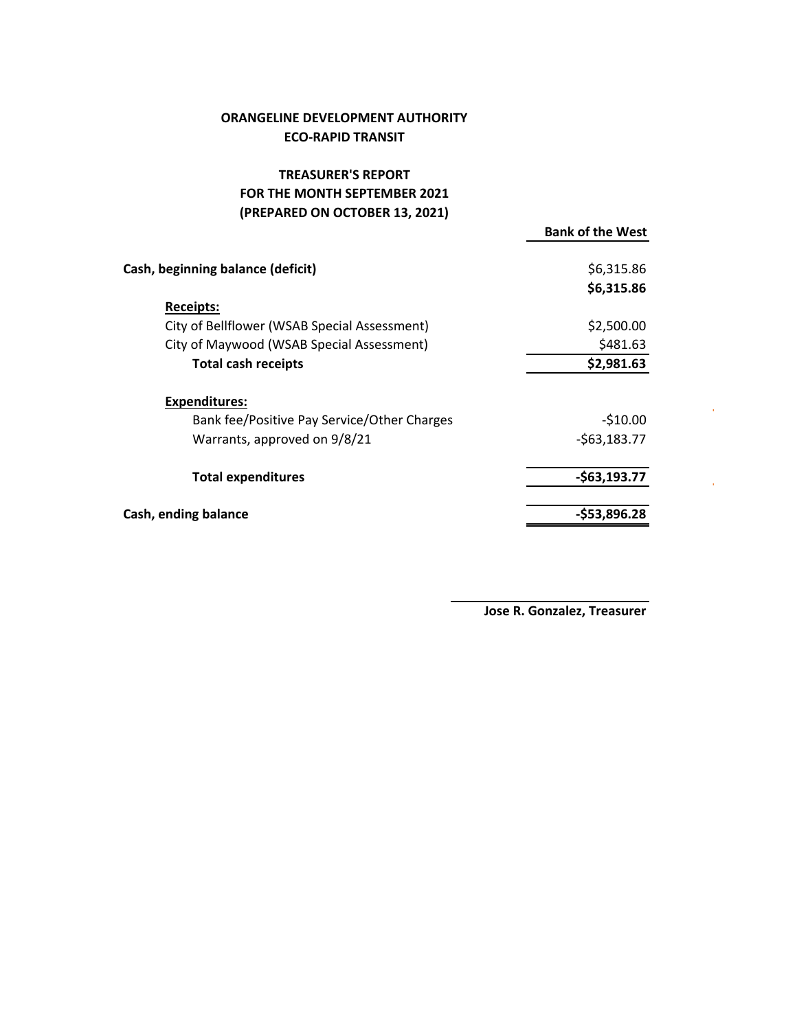# **ORANGELINE DEVELOPMENT AUTHORITY ECO‐RAPID TRANSIT**

# **TREASURER'S REPORT** FOR THE MONTH SEPTEMBER 2021 **(PREPARED ON OCTOBER 13, 2021)**

|                                              | <b>Bank of the West</b> |
|----------------------------------------------|-------------------------|
| Cash, beginning balance (deficit)            | \$6,315.86              |
|                                              | \$6,315.86              |
| <b>Receipts:</b>                             |                         |
| City of Bellflower (WSAB Special Assessment) | \$2,500.00              |
| City of Maywood (WSAB Special Assessment)    | \$481.63                |
| <b>Total cash receipts</b>                   | \$2,981.63              |
| <b>Expenditures:</b>                         |                         |
| Bank fee/Positive Pay Service/Other Charges  | $-510.00$               |
| Warrants, approved on 9/8/21                 | $-563,183.77$           |
| <b>Total expenditures</b>                    | $-$63,193.77$           |
| Cash, ending balance                         | $-$53,896.28$           |
|                                              |                         |

 **Jose R. Gonzalez, Treasurer**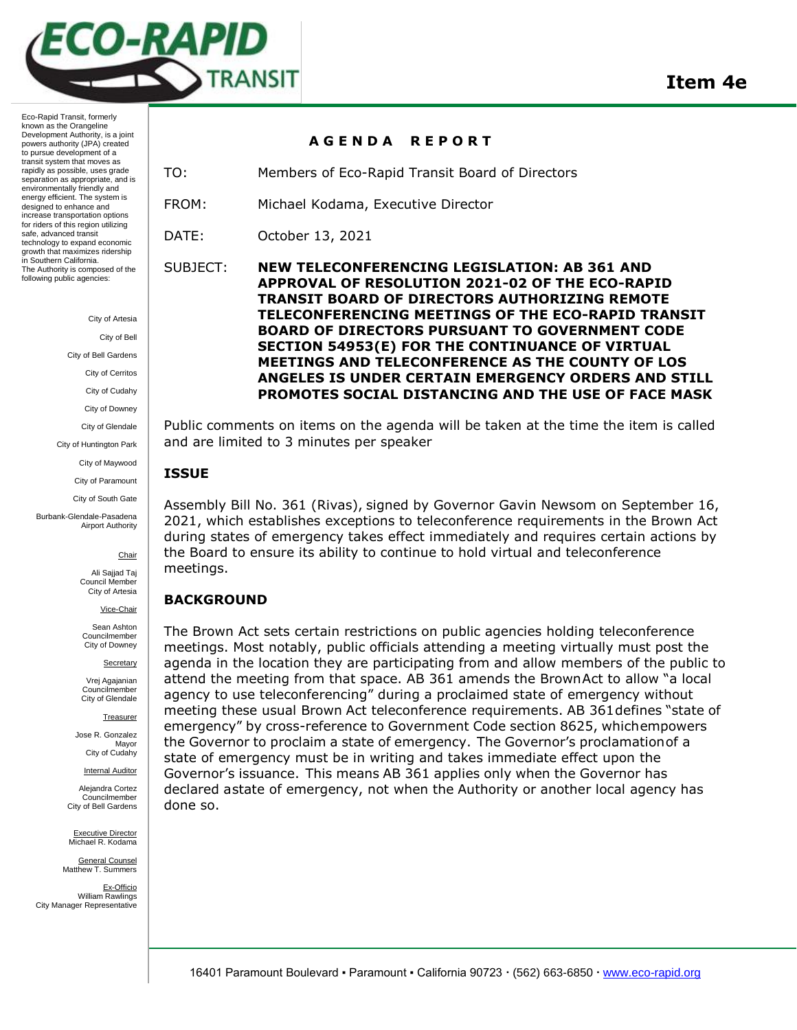

City of Artesia

City of Bell

City of Bell Gardens

City of Cerritos

City of Cudahy

City of Downey

City of Glendale

City of Huntington Park

City of Maywood

City of Paramount

City of South Gate

Burbank-Glendale-Pasadena Airport Authority

**Chair** 

Ali Sajjad Taj Council Member City of Artesia

Vice-Chair

Sean Ashton Councilmember City of Downey

**Secretary** 

Vrej Agajanian Councilmember City of Glendale

**Treasurer** 

Jose R. Gonzalez Mayor City of Cudahy

**Internal Auditor** 

Alejandra Cortez Councilmember City of Bell Gardens

Executive Director Michael R. Kodama

General Counsel Matthew T. Summers

Ex-Officio William Rawlings City Manager Representative

#### **A G E N D A R E P O R T**

TO: Members of Eco-Rapid Transit Board of Directors

FROM: Michael Kodama, Executive Director

DATE: October 13, 2021

SUBJECT: **NEW TELECONFERENCING LEGISLATION: AB 361 AND APPROVAL OF RESOLUTION 2021-02 OF THE ECO-RAPID TRANSIT BOARD OF DIRECTORS AUTHORIZING REMOTE TELECONFERENCING MEETINGS OF THE ECO-RAPID TRANSIT BOARD OF DIRECTORS PURSUANT TO GOVERNMENT CODE SECTION 54953(E) FOR THE CONTINUANCE OF VIRTUAL MEETINGS AND TELECONFERENCE AS THE COUNTY OF LOS ANGELES IS UNDER CERTAIN EMERGENCY ORDERS AND STILL PROMOTES SOCIAL DISTANCING AND THE USE OF FACE MASK**

Public comments on items on the agenda will be taken at the time the item is called and are limited to 3 minutes per speaker

#### **ISSUE**

Assembly Bill No. 361 (Rivas), signed by Governor Gavin Newsom on September 16, 2021, which establishes exceptions to teleconference requirements in the Brown Act during states of emergency takes effect immediately and requires certain actions by the Board to ensure its ability to continue to hold virtual and teleconference meetings.

## **BACKGROUND**

The Brown Act sets certain restrictions on public agencies holding teleconference meetings. Most notably, public officials attending a meeting virtually must post the agenda in the location they are participating from and allow members of the public to attend the meeting from that space. AB 361 amends the BrownAct to allow "a local agency to use teleconferencing" during a proclaimed state of emergency without meeting these usual Brown Act teleconference requirements. AB 361defines "state of emergency" by cross-reference to Government Code section 8625, whichempowers the Governor to proclaim a state of emergency. The Governor's proclamationof a state of emergency must be in writing and takes immediate effect upon the Governor's issuance. This means AB 361 applies only when the Governor has declared astate of emergency, not when the Authority or another local agency has done so.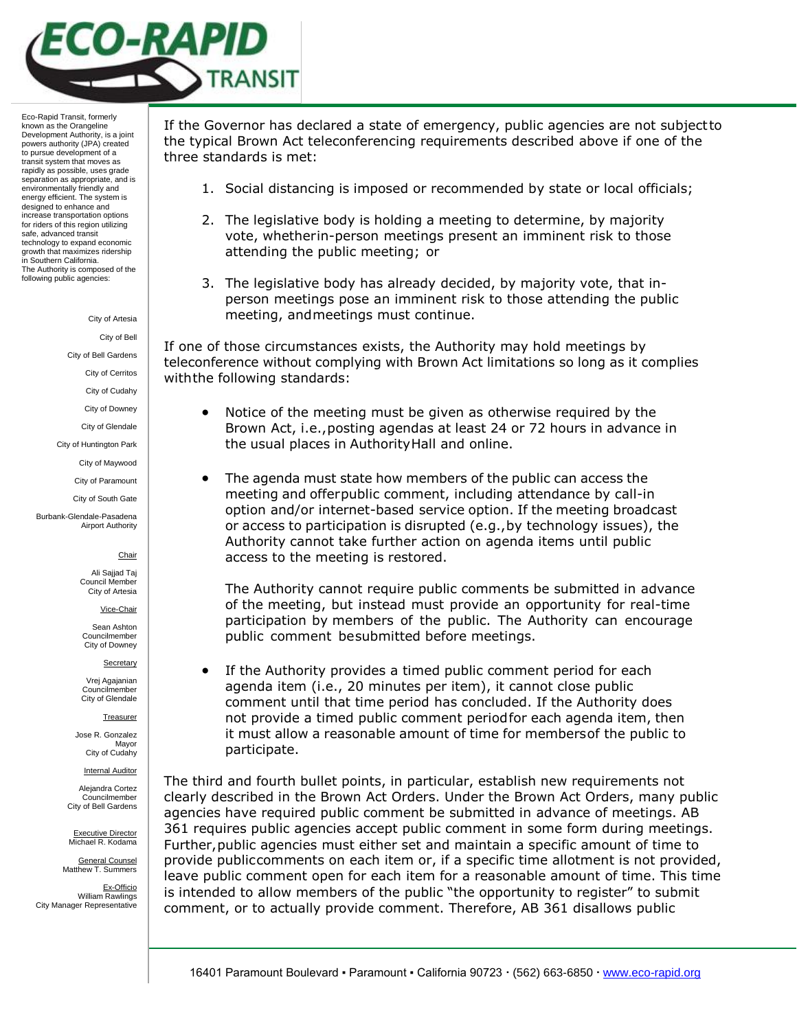

City of Artesia

City of Bell

City of Bell Gardens

City of Cerritos

City of Cudahy

City of Downey

City of Glendale

City of Huntington Park

City of Maywood

City of Paramount City of South Gate

Burbank-Glendale-Pasadena Airport Authority

#### **Chair**

Ali Sajjad Taj Council Membe City of Artesia

Vice-Chair

Sean Ashton Councilmember City of Downey

Secretary

Vrej Agajanian Councilmember City of Glendale

**Treasurer** 

Jose R. Gonzalez Mayor City of Cudahy

**Internal Auditor** 

Alejandra Cortez Councilmember City of Bell Gardens

Executive Director Michael R. Kodama

General Counsel Matthew T. Summers

Ex-Officio William Rawlings City Manager Representative

If the Governor has declared a state of emergency, public agencies are not subjectto the typical Brown Act teleconferencing requirements described above if one of the three standards is met:

- 1. Social distancing is imposed or recommended by state or local officials;
- 2. The legislative body is holding a meeting to determine, by majority vote, whetherin-person meetings present an imminent risk to those attending the public meeting; or
- 3. The legislative body has already decided, by majority vote, that inperson meetings pose an imminent risk to those attending the public meeting, andmeetings must continue.

If one of those circumstances exists, the Authority may hold meetings by teleconference without complying with Brown Act limitations so long as it complies withthe following standards:

- Notice of the meeting must be given as otherwise required by the Brown Act, i.e.,posting agendas at least 24 or 72 hours in advance in the usual places in AuthorityHall and online.
- The agenda must state how members of the public can access the meeting and offerpublic comment, including attendance by call-in option and/or internet-based service option. If the meeting broadcast or access to participation is disrupted (e.g.,by technology issues), the Authority cannot take further action on agenda items until public access to the meeting is restored.

The Authority cannot require public comments be submitted in advance of the meeting, but instead must provide an opportunity for real-time participation by members of the public. The Authority can encourage public comment besubmitted before meetings.

 If the Authority provides a timed public comment period for each agenda item (i.e., 20 minutes per item), it cannot close public comment until that time period has concluded. If the Authority does not provide a timed public comment periodfor each agenda item, then it must allow a reasonable amount of time for membersof the public to participate.

The third and fourth bullet points, in particular, establish new requirements not clearly described in the Brown Act Orders. Under the Brown Act Orders, many public agencies have required public comment be submitted in advance of meetings. AB 361 requires public agencies accept public comment in some form during meetings. Further,public agencies must either set and maintain a specific amount of time to provide publiccomments on each item or, if a specific time allotment is not provided, leave public comment open for each item for a reasonable amount of time. This time is intended to allow members of the public "the opportunity to register" to submit comment, or to actually provide comment. Therefore, AB 361 disallows public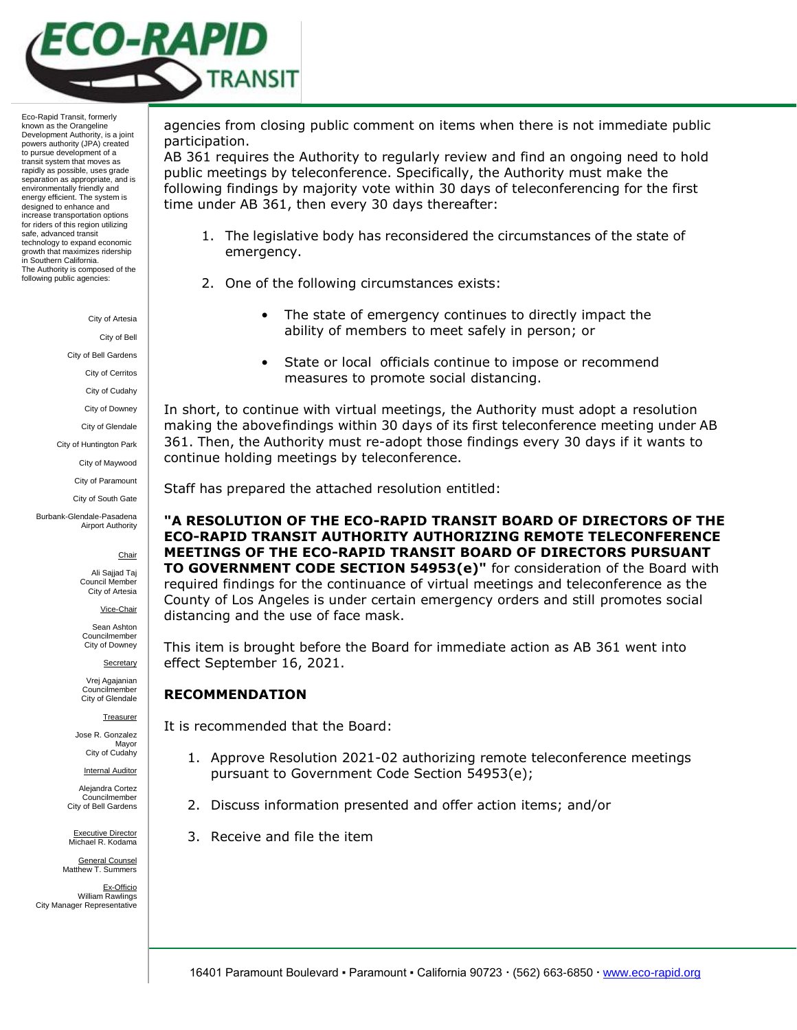

City of Artesia

City of Bell

City of Bell Gardens

City of Cerritos

City of Cudahy

City of Downey

City of Glendale

City of Huntington Park

City of Maywood

City of Paramount City of South Gate

Burbank-Glendale-Pasadena Airport Authority

**Chair** 

Ali Sajjad Taj Council Membe City of Artesia

Vice-Chair

Sean Ashton Councilmember City of Downey

**Secretary** 

Vrej Agajanian Councilmember City of Glendale

**Treasurer** 

Jose R. Gonzalez Mayor City of Cudahy

**Internal Auditor** 

Alejandra Cortez Councilmember City of Bell Gardens

Executive Director Michael R. Kodama

General Counsel Matthew T. Summers

Ex-Officio William Rawlings City Manager Representative

agencies from closing public comment on items when there is not immediate public participation.

AB 361 requires the Authority to regularly review and find an ongoing need to hold public meetings by teleconference. Specifically, the Authority must make the following findings by majority vote within 30 days of teleconferencing for the first time under AB 361, then every 30 days thereafter:

- 1. The legislative body has reconsidered the circumstances of the state of emergency.
- 2. One of the following circumstances exists:
	- The state of emergency continues to directly impact the ability of members to meet safely in person; or
	- State or local officials continue to impose or recommend measures to promote social distancing.

In short, to continue with virtual meetings, the Authority must adopt a resolution making the abovefindings within 30 days of its first teleconference meeting under AB 361. Then, the Authority must re-adopt those findings every 30 days if it wants to continue holding meetings by teleconference.

Staff has prepared the attached resolution entitled:

**"A RESOLUTION OF THE ECO-RAPID TRANSIT BOARD OF DIRECTORS OF THE ECO-RAPID TRANSIT AUTHORITY AUTHORIZING REMOTE TELECONFERENCE MEETINGS OF THE ECO-RAPID TRANSIT BOARD OF DIRECTORS PURSUANT TO GOVERNMENT CODE SECTION 54953(e)"** for consideration of the Board with required findings for the continuance of virtual meetings and teleconference as the County of Los Angeles is under certain emergency orders and still promotes social distancing and the use of face mask.

This item is brought before the Board for immediate action as AB 361 went into effect September 16, 2021.

#### **RECOMMENDATION**

It is recommended that the Board:

- 1. Approve Resolution 2021-02 authorizing remote teleconference meetings pursuant to Government Code Section 54953(e);
- 2. Discuss information presented and offer action items; and/or
- 3. Receive and file the item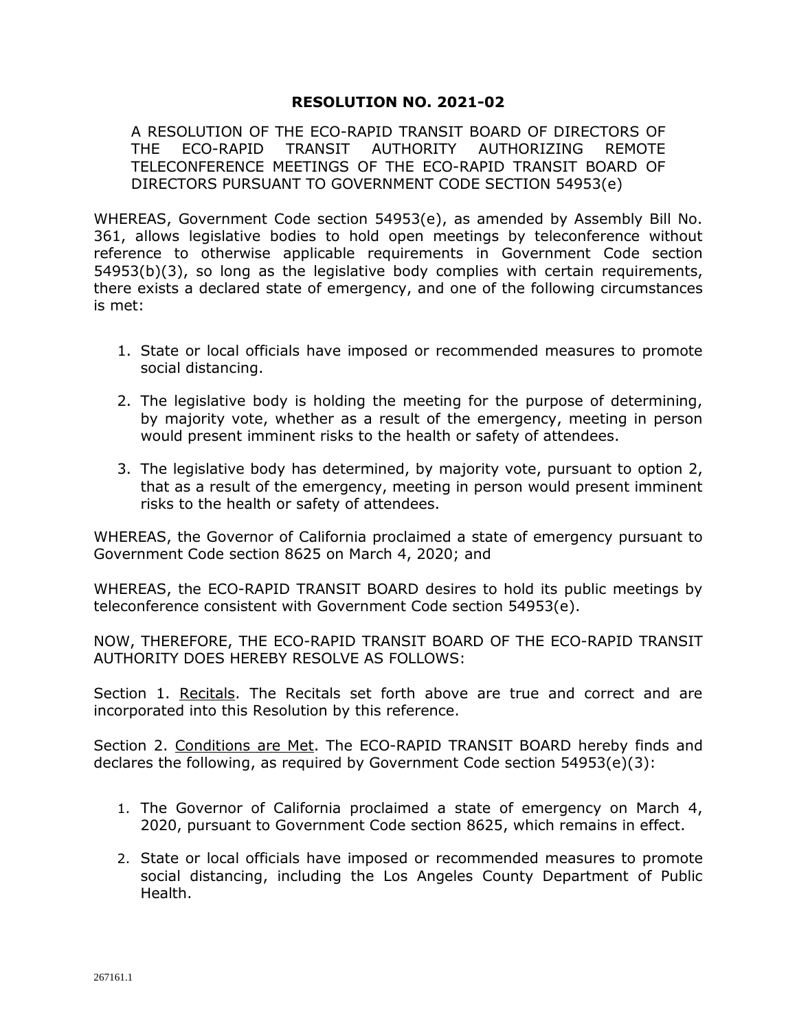# **RESOLUTION NO. 2021-02**

A RESOLUTION OF THE ECO-RAPID TRANSIT BOARD OF DIRECTORS OF THE ECO-RAPID TRANSIT AUTHORITY AUTHORIZING REMOTE TELECONFERENCE MEETINGS OF THE ECO-RAPID TRANSIT BOARD OF DIRECTORS PURSUANT TO GOVERNMENT CODE SECTION 54953(e)

WHEREAS, Government Code section 54953(e), as amended by Assembly Bill No. 361, allows legislative bodies to hold open meetings by teleconference without reference to otherwise applicable requirements in Government Code section 54953(b)(3), so long as the legislative body complies with certain requirements, there exists a declared state of emergency, and one of the following circumstances is met:

- 1. State or local officials have imposed or recommended measures to promote social distancing.
- 2. The legislative body is holding the meeting for the purpose of determining, by majority vote, whether as a result of the emergency, meeting in person would present imminent risks to the health or safety of attendees.
- 3. The legislative body has determined, by majority vote, pursuant to option 2, that as a result of the emergency, meeting in person would present imminent risks to the health or safety of attendees.

WHEREAS, the Governor of California proclaimed a state of emergency pursuant to Government Code section 8625 on March 4, 2020; and

WHEREAS, the ECO-RAPID TRANSIT BOARD desires to hold its public meetings by teleconference consistent with Government Code section 54953(e).

NOW, THEREFORE, THE ECO-RAPID TRANSIT BOARD OF THE ECO-RAPID TRANSIT AUTHORITY DOES HEREBY RESOLVE AS FOLLOWS:

Section 1. Recitals. The Recitals set forth above are true and correct and are incorporated into this Resolution by this reference.

Section 2. Conditions are Met. The ECO-RAPID TRANSIT BOARD hereby finds and declares the following, as required by Government Code section 54953(e)(3):

- 1. The Governor of California proclaimed a state of emergency on March 4, 2020, pursuant to Government Code section 8625, which remains in effect.
- 2. State or local officials have imposed or recommended measures to promote social distancing, including the Los Angeles County Department of Public Health.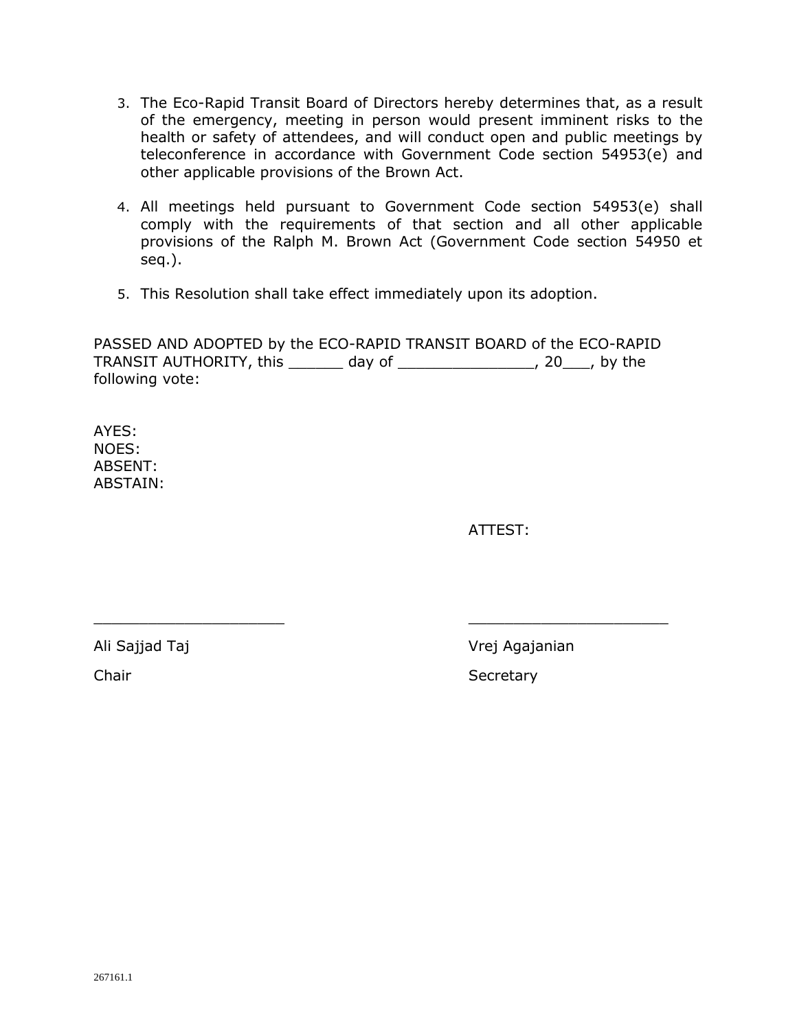- 3. The Eco-Rapid Transit Board of Directors hereby determines that, as a result of the emergency, meeting in person would present imminent risks to the health or safety of attendees, and will conduct open and public meetings by teleconference in accordance with Government Code section 54953(e) and other applicable provisions of the Brown Act.
- 4. All meetings held pursuant to Government Code section 54953(e) shall comply with the requirements of that section and all other applicable provisions of the Ralph M. Brown Act (Government Code section 54950 et seq.).
- 5. This Resolution shall take effect immediately upon its adoption.

PASSED AND ADOPTED by the ECO-RAPID TRANSIT BOARD of the ECO-RAPID TRANSIT AUTHORITY, this \_\_\_\_\_\_ day of \_\_\_\_\_\_\_\_\_\_\_\_\_\_\_, 20\_\_\_, by the following vote:

 $\frac{1}{2}$  ,  $\frac{1}{2}$  ,  $\frac{1}{2}$  ,  $\frac{1}{2}$  ,  $\frac{1}{2}$  ,  $\frac{1}{2}$  ,  $\frac{1}{2}$  ,  $\frac{1}{2}$  ,  $\frac{1}{2}$  ,  $\frac{1}{2}$  ,  $\frac{1}{2}$  ,  $\frac{1}{2}$  ,  $\frac{1}{2}$  ,  $\frac{1}{2}$  ,  $\frac{1}{2}$  ,  $\frac{1}{2}$  ,  $\frac{1}{2}$  ,  $\frac{1}{2}$  ,  $\frac{1$ 

AYES: NOES: ABSENT: ABSTAIN:

ATTEST:

Ali Sajjad Taj Nasara Kabupatèn Kali Sajanian Kabupatèn Kali Sajanian

Chair Secretary Secretary